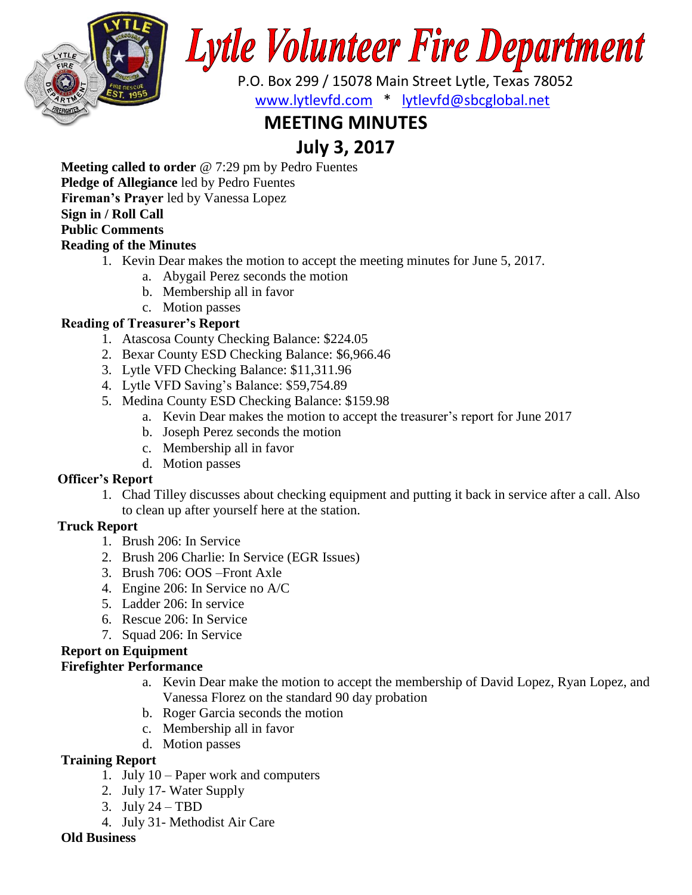

# **Lytle Volunteer Fire Department**

 P.O. Box 299 / 15078 Main Street Lytle, Texas 78052 [www.lytlevfd.com](http://www.lytlevfd.com/) \* [lytlevfd@sbcglobal.net](mailto:lytlevfd@sbcglobal.net)

# **MEETING MINUTES**

# **July 3, 2017**

**Meeting called to order** @ 7:29 pm by Pedro Fuentes

**Pledge of Allegiance** led by Pedro Fuentes

**Fireman's Prayer** led by Vanessa Lopez

#### **Sign in / Roll Call**

#### **Public Comments**

## **Reading of the Minutes**

- 1. Kevin Dear makes the motion to accept the meeting minutes for June 5, 2017.
	- a. Abygail Perez seconds the motion
	- b. Membership all in favor
	- c. Motion passes

## **Reading of Treasurer's Report**

- 1. Atascosa County Checking Balance: \$224.05
- 2. Bexar County ESD Checking Balance: \$6,966.46
- 3. Lytle VFD Checking Balance: \$11,311.96
- 4. Lytle VFD Saving's Balance: \$59,754.89
- 5. Medina County ESD Checking Balance: \$159.98
	- a. Kevin Dear makes the motion to accept the treasurer's report for June 2017
	- b. Joseph Perez seconds the motion
	- c. Membership all in favor
	- d. Motion passes

## **Officer's Report**

1. Chad Tilley discusses about checking equipment and putting it back in service after a call. Also to clean up after yourself here at the station.

## **Truck Report**

- 1. Brush 206: In Service
- 2. Brush 206 Charlie: In Service (EGR Issues)
- 3. Brush 706: OOS –Front Axle
- 4. Engine 206: In Service no A/C
- 5. Ladder 206: In service
- 6. Rescue 206: In Service
- 7. Squad 206: In Service

## **Report on Equipment**

#### **Firefighter Performance**

- a. Kevin Dear make the motion to accept the membership of David Lopez, Ryan Lopez, and Vanessa Florez on the standard 90 day probation
- b. Roger Garcia seconds the motion
- c. Membership all in favor
- d. Motion passes

## **Training Report**

- 1. July 10 Paper work and computers
- 2. July 17- Water Supply
- 3. July 24 TBD
- 4. July 31- Methodist Air Care

#### **Old Business**